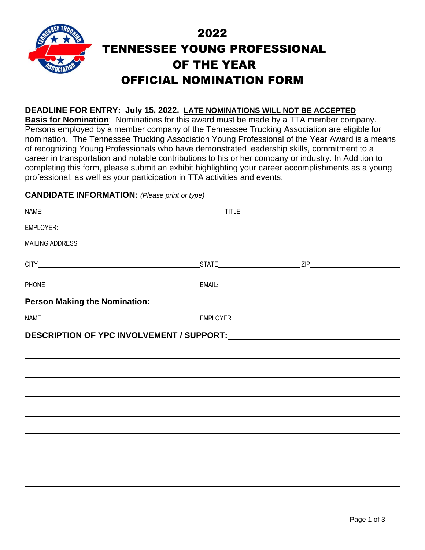

## **DEADLINE FOR ENTRY: July 15, 2022. LATE NOMINATIONS WILL NOT BE ACCEPTED**

**Basis for Nomination**: Nominations for this award must be made by a TTA member company. Persons employed by a member company of the Tennessee Trucking Association are eligible for nomination. The Tennessee Trucking Association Young Professional of the Year Award is a means of recognizing Young Professionals who have demonstrated leadership skills, commitment to a career in transportation and notable contributions to his or her company or industry. In Addition to completing this form, please submit an exhibit highlighting your career accomplishments as a young professional, as well as your participation in TTA activities and events.

# **CANDIDATE INFORMATION:** *(Please print or type)*

|                                      | MAILING ADDRESS: National Account of the Contract of the Contract of the Contract of the Contract of the Contract of the Contract of the Contract of the Contract of the Contract of the Contract of the Contract of the Contr |  |
|--------------------------------------|--------------------------------------------------------------------------------------------------------------------------------------------------------------------------------------------------------------------------------|--|
|                                      |                                                                                                                                                                                                                                |  |
|                                      |                                                                                                                                                                                                                                |  |
| <b>Person Making the Nomination:</b> |                                                                                                                                                                                                                                |  |
|                                      |                                                                                                                                                                                                                                |  |
|                                      |                                                                                                                                                                                                                                |  |
|                                      |                                                                                                                                                                                                                                |  |
|                                      |                                                                                                                                                                                                                                |  |
|                                      |                                                                                                                                                                                                                                |  |
|                                      |                                                                                                                                                                                                                                |  |
|                                      |                                                                                                                                                                                                                                |  |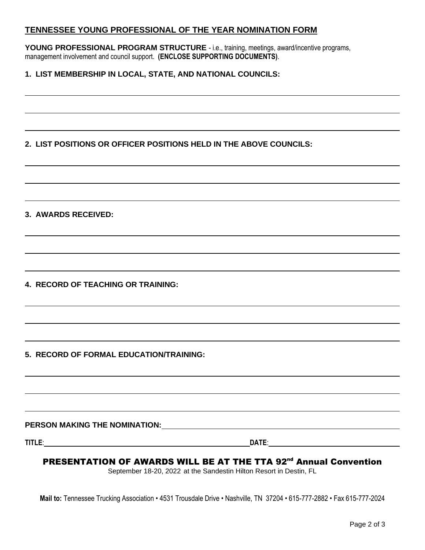# **TENNESSEE YOUNG PROFESSIONAL OF THE YEAR NOMINATION FORM**

**YOUNG PROFESSIONAL PROGRAM STRUCTURE** - i.e., training, meetings, award/incentive programs, management involvement and council support. **(ENCLOSE SUPPORTING DOCUMENTS)**.

## **1. LIST MEMBERSHIP IN LOCAL, STATE, AND NATIONAL COUNCILS:**

# **2. LIST POSITIONS OR OFFICER POSITIONS HELD IN THE ABOVE COUNCILS:**

#### **3. AWARDS RECEIVED:**

**4. RECORD OF TEACHING OR TRAINING:**

#### **5. RECORD OF FORMAL EDUCATION/TRAINING:**

**PERSON MAKING THE NOMINATION:**

**TITLE**: **DATE**:

# PRESENTATION OF AWARDS WILL BE AT THE TTA 92<sup>nd</sup> Annual Convention

September 18-20, 2022 at the Sandestin Hilton Resort in Destin, FL

**Mail to:** Tennessee Trucking Association • 4531 Trousdale Drive • Nashville, TN 37204 • 615-777-2882 • Fax 615-777-2024